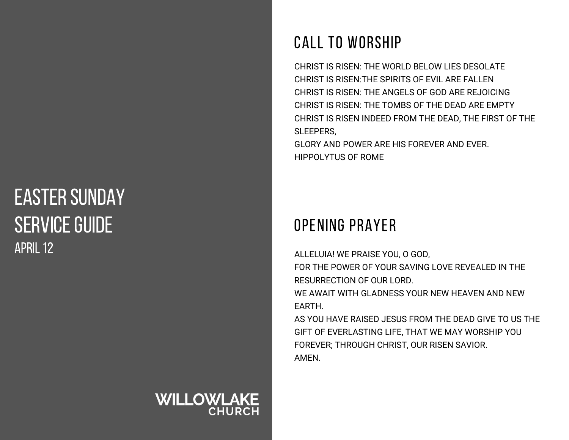## **EASTER SUNDAY** SERVICE GUIDE APRIL12 ALLELUIA! WE PRAISE YOU, O GOD,

# **WILLOWLAKE**

#### CALL TO WORSHIP

CHRIST IS RISEN: THE WORLD BELOW LIES DESOLATE CHRIST IS RISEN:THE SPIRITS OF EVIL ARE FALLEN CHRIST IS RISEN: THE ANGELS OF GOD ARE REJOICING CHRIST IS RISEN: THE TOMBS OF THE DEAD ARE EMPTY CHRIST IS RISEN INDEED FROM THE DEAD, THE FIRST OF THE SLEEPERS, GLORY AND POWER ARE HIS FOREVER AND EVER.

HIPPOLYTUS OF ROME

### OPENING PRAYER

FOR THE POWER OF YOUR SAVING LOVE REVEALED IN THE RESURRECTION OF OUR LORD. WE AWAIT WITH GLADNESS YOUR NEW HEAVEN AND NEW EARTH. AS YOU HAVE RAISED JESUS FROM THE DEAD GIVE TO US THE GIFT OF EVERLASTING LIFE, THAT WE MAY WORSHIP YOU FOREVER; THROUGH CHRIST, OUR RISEN SAVIOR.

AMEN.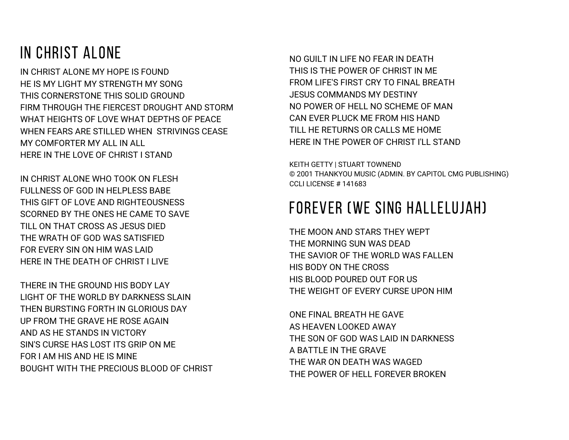#### IN CHRIST ALONE

IN CHRIST ALONE MY HOPE IS FOUND HE IS MY LIGHT MY STRENGTH MY SONG THIS CORNERSTONE THIS SOLID GROUND FIRM THROUGH THE FIERCEST DROUGHT AND STORM WHAT HEIGHTS OF LOVE WHAT DEPTHS OF PEACE WHEN FEARS ARE STILLED WHEN STRIVINGS CEASE MY COMFORTER MY ALL IN ALL HERE IN THE LOVE OF CHRIST I STAND

IN CHRIST ALONE WHO TOOK ON FLESH FULLNESS OF GOD IN HELPLESS BABE THIS GIFT OF LOVE AND RIGHTEOUSNESS SCORNED BY THE ONES HE CAME TO SAVE TILL ON THAT CROSS AS JESUS DIED THE WRATH OF GOD WAS SATISFIED FOR EVERY SIN ON HIM WAS LAID HERE IN THE DEATH OF CHRIST I LIVE

THERE IN THE GROUND HIS BODY LAY LIGHT OF THE WORLD BY DARKNESS SLAIN THEN BURSTING FORTH IN GLORIOUS DAY UP FROM THE GRAVE HE ROSE AGAIN AND AS HE STANDS IN VICTORY SIN'S CURSE HAS LOST ITS GRIP ON ME FOR I AM HIS AND HE IS MINE BOUGHT WITH THE PRECIOUS BLOOD OF CHRIST

THIS IS THE POWER OF CHRIST IN ME FROM LIFE'S FIRST CRY TO FINAL BREATH JESUS COMMANDS MY DESTINY NO POWER OF HELL NO SCHEME OF MAN CAN EVER PLUCK ME FROM HIS HAND TILL HE RETURNS OR CALLS ME HOME HERE IN THE POWER OF CHRIST I'LL STAND

KEITH GETTY | STUART TOWNEND © 2001 THANKYOU MUSIC (ADMIN. BY CAPITOL CMG PUBLISHING) CCLI LICENSE # 141683

#### FOREVER (WE SING HALLELUJAH)

THE MOON AND STARS THEY WEPT THE MORNING SUN WAS DEAD THE SAVIOR OF THE WORLD WAS FALLEN HIS BODY ON THE CROSS HIS BLOOD POURED OUT FOR US THE WEIGHT OF EVERY CURSE UPON HIM

ONE FINAL BREATH HE GAVE AS HEAVEN LOOKED AWAY THE SON OF GOD WAS LAID IN DARKNESS A BATTLE IN THE GRAVE THE WAR ON DEATH WAS WAGED THE POWER OF HELL FOREVER BROKEN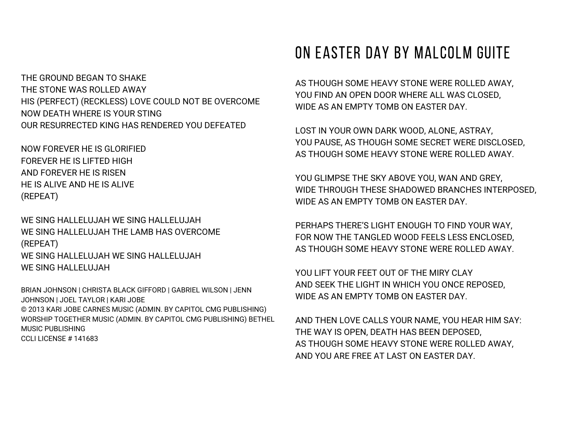#### THE GROUND BEGAN TO SHAKE THE STONE WAS ROLLED AWAY HIS (PERFECT) (RECKLESS) LOVE COULD NOT BE OVERCOME NOW DEATH WHERE IS YOUR STING OUR RESURRECTED KING HAS RENDERED YOU DEFEATED

NOW FOREVER HE IS GLORIFIED FOREVER HE IS LIFTED HIGH AND FOREVER HE IS RISEN HE IS ALIVE AND HE IS ALIVE (REPEAT)

WE SING HALLELUJAH WE SING HALLELUJAH WE SING HALLELUJAH THE LAMB HAS OVERCOME (REPEAT) WE SING HALLELUJAH WE SING HALLELUJAH WE SING HALLELUJAH

BRIAN JOHNSON | CHRISTA BLACK GIFFORD | GABRIEL WILSON | JENN JOHNSON | JOEL TAYLOR | KARI JOBE © 2013 KARI JOBE CARNES MUSIC (ADMIN. BY CAPITOL CMG PUBLISHING) WORSHIP TOGETHER MUSIC (ADMIN. BY CAPITOL CMG PUBLISHING) BETHEL MUSIC PUBLISHING CCLI LICENSE # 141683

#### ON EASTER DAY BY MALCOLM GUITE

AS THOUGH SOME HEAVY STONE WERE ROLLED AWAY, YOU FIND AN OPEN DOOR WHERE ALL WAS CLOSED, WIDE AS AN EMPTY TOMB ON EASTER DAY.

LOST IN YOUR OWN DARK WOOD, ALONE, ASTRAY, YOU PAUSE, AS THOUGH SOME SECRET WERE DISCLOSED, AS THOUGH SOME HEAVY STONE WERE ROLLED AWAY.

YOU GLIMPSE THE SKY ABOVE YOU, WAN AND GREY, WIDE THROUGH THESE SHADOWED BRANCHES INTERPOSED, WIDE AS AN EMPTY TOMB ON EASTER DAY.

PERHAPS THERE'S LIGHT ENOUGH TO FIND YOUR WAY, FOR NOW THE TANGLED WOOD FEELS LESS ENCLOSED, AS THOUGH SOME HEAVY STONE WERE ROLLED AWAY.

YOU LIFT YOUR FEET OUT OF THE MIRY CLAY AND SEEK THE LIGHT IN WHICH YOU ONCE REPOSED, WIDE AS AN EMPTY TOMB ON EASTER DAY.

AND THEN LOVE CALLS YOUR NAME, YOU HEAR HIM SAY: THE WAY IS OPEN, DEATH HAS BEEN DEPOSED, AS THOUGH SOME HEAVY STONE WERE ROLLED AWAY, AND YOU ARE FREE AT LAST ON EASTER DAY.